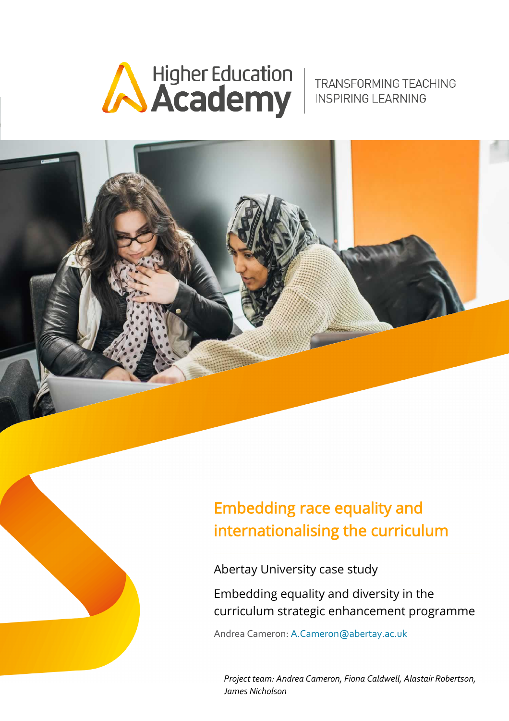

#### TRANSFORMING TEACHING **INSPIRING LEARNING**



# Embedding race equality and internationalising the curriculum

Abertay University case study

Embedding equality and diversity in the curriculum strategic enhancement programme

Andrea Cameron: [A.Cameron@abertay.ac.uk](https://outlook.abertay.ac.uk/owa/redir.aspx?C=4GcxDTQcE7j7QIejbCYo_6ffJXwSVylcDzTRjQMtDGFOhldlZV7UCA..&URL=mailto%3aA.Cameron%40abertay.ac.uk)

*Project team: Andrea Cameron, Fiona Caldwell, Alastair Robertson, James Nicholson*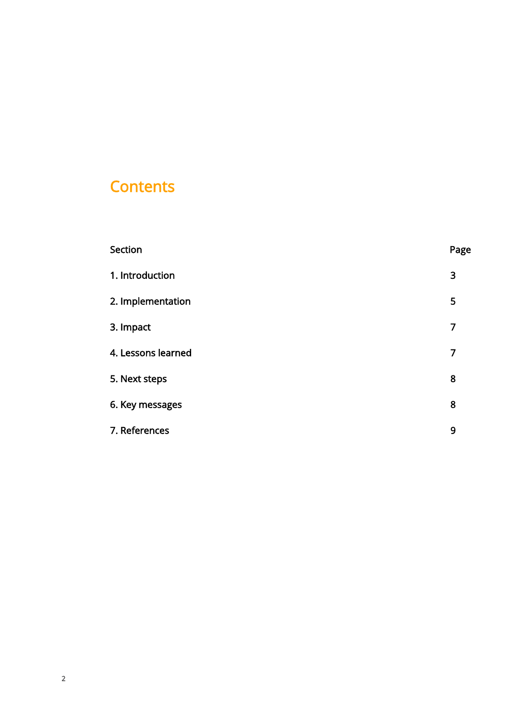#### **Contents**

| Section            | Page |
|--------------------|------|
| 1. Introduction    | 3    |
| 2. Implementation  | 5    |
| 3. Impact          | 7    |
| 4. Lessons learned | 7    |
| 5. Next steps      | 8    |
| 6. Key messages    | 8    |
| 7. References      | 9    |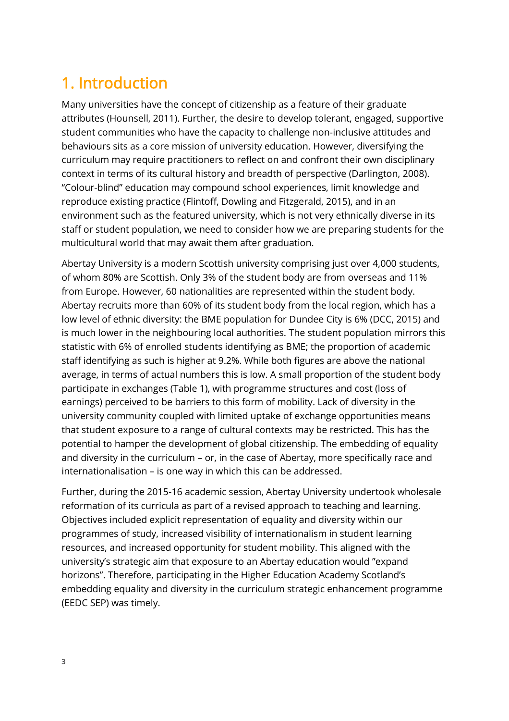### <span id="page-2-0"></span>1. Introduction

Many universities have the concept of citizenship as a feature of their graduate attributes (Hounsell, 2011). Further, the desire to develop tolerant, engaged, supportive student communities who have the capacity to challenge non-inclusive attitudes and behaviours sits as a core mission of university education. However, diversifying the curriculum may require practitioners to reflect on and confront their own disciplinary context in terms of its cultural history and breadth of perspective (Darlington, 2008). "Colour-blind" education may compound school experiences, limit knowledge and reproduce existing practice (Flintoff, Dowling and Fitzgerald, 2015), and in an environment such as the featured university, which is not very ethnically diverse in its staff or student population, we need to consider how we are preparing students for the multicultural world that may await them after graduation.

Abertay University is a modern Scottish university comprising just over 4,000 students, of whom 80% are Scottish. Only 3% of the student body are from overseas and 11% from Europe. However, 60 nationalities are represented within the student body. Abertay recruits more than 60% of its student body from the local region, which has a low level of ethnic diversity: the BME population for Dundee City is 6% (DCC, 2015) and is much lower in the neighbouring local authorities. The student population mirrors this statistic with 6% of enrolled students identifying as BME; the proportion of academic staff identifying as such is higher at 9.2%. While both figures are above the national average, in terms of actual numbers this is low. A small proportion of the student body participate in exchanges (Table 1), with programme structures and cost (loss of earnings) perceived to be barriers to this form of mobility. Lack of diversity in the university community coupled with limited uptake of exchange opportunities means that student exposure to a range of cultural contexts may be restricted. This has the potential to hamper the development of global citizenship. The embedding of equality and diversity in the curriculum – or, in the case of Abertay, more specifically race and internationalisation – is one way in which this can be addressed.

Further, during the 2015-16 academic session, Abertay University undertook wholesale reformation of its curricula as part of a revised approach to teaching and learning. Objectives included explicit representation of equality and diversity within our programmes of study, increased visibility of internationalism in student learning resources, and increased opportunity for student mobility. This aligned with the university's strategic aim that exposure to an Abertay education would "expand horizons". Therefore, participating in the Higher Education Academy Scotland's embedding equality and diversity in the curriculum strategic enhancement programme (EEDC SEP) was timely.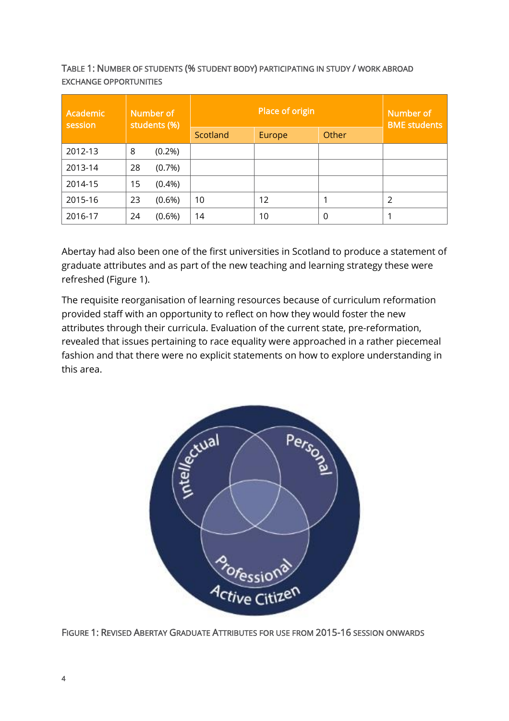TABLE 1: NUMBER OF STUDENTS (% STUDENT BODY) PARTICIPATING IN STUDY / WORK ABROAD EXCHANGE OPPORTUNITIES

| Number of<br><b>Academic</b><br>students (%)<br>session |    | Place of origin |          |                   | Number of<br><b>BME</b> students |   |
|---------------------------------------------------------|----|-----------------|----------|-------------------|----------------------------------|---|
|                                                         |    |                 | Scotland | Europe            | Other                            |   |
| 2012-13                                                 | 8  | $(0.2\%)$       |          |                   |                                  |   |
| 2013-14                                                 | 28 | (0.7%)          |          |                   |                                  |   |
| 2014-15                                                 | 15 | $(0.4\%)$       |          |                   |                                  |   |
| 2015-16                                                 | 23 | $(0.6\%)$       | 10       | $12 \overline{ }$ |                                  | 2 |
| 2016-17                                                 | 24 | $(0.6\%)$       | 14       | 10                | 0                                |   |

Abertay had also been one of the first universities in Scotland to produce a statement of graduate attributes and as part of the new teaching and learning strategy these were refreshed (Figure 1).

The requisite reorganisation of learning resources because of curriculum reformation provided staff with an opportunity to reflect on how they would foster the new attributes through their curricula. Evaluation of the current state, pre-reformation, revealed that issues pertaining to race equality were approached in a rather piecemeal fashion and that there were no explicit statements on how to explore understanding in this area.



FIGURE 1: REVISED ABERTAY GRADUATE ATTRIBUTES FOR USE FROM 2015-16 SESSION ONWARDS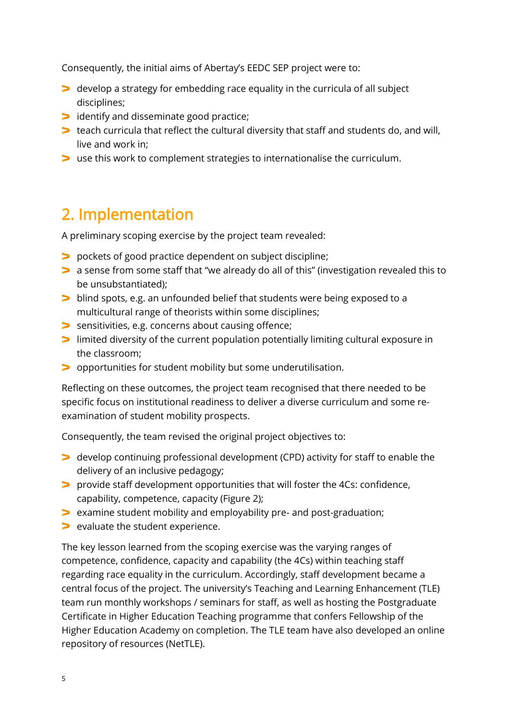Consequently, the initial aims of Abertay's EEDC SEP project were to:

- develop a strategy for embedding race equality in the curricula of all subject disciplines;
- identify and disseminate good practice;
- teach curricula that reflect the cultural diversity that staff and students do, and will, live and work in;
- use this work to complement strategies to internationalise the curriculum.

#### <span id="page-4-0"></span>2. Implementation

A preliminary scoping exercise by the project team revealed:

- pockets of good practice dependent on subject discipline;
- a sense from some staff that "we already do all of this" (investigation revealed this to be unsubstantiated);
- blind spots, e.g. an unfounded belief that students were being exposed to a multicultural range of theorists within some disciplines;
- sensitivities, e.g. concerns about causing offence;
- limited diversity of the current population potentially limiting cultural exposure in the classroom;
- opportunities for student mobility but some underutilisation.

Reflecting on these outcomes, the project team recognised that there needed to be specific focus on institutional readiness to deliver a diverse curriculum and some reexamination of student mobility prospects.

Consequently, the team revised the original project objectives to:

- develop continuing professional development (CPD) activity for staff to enable the delivery of an inclusive pedagogy;
- provide staff development opportunities that will foster the 4Cs: confidence, capability, competence, capacity (Figure 2);
- examine student mobility and employability pre- and post-graduation;
- > evaluate the student experience.

The key lesson learned from the scoping exercise was the varying ranges of competence, confidence, capacity and capability (the 4Cs) within teaching staff regarding race equality in the curriculum. Accordingly, staff development became a central focus of the project. The university's Teaching and Learning Enhancement (TLE) team run monthly workshops / seminars for staff, as well as hosting the Postgraduate Certificate in Higher Education Teaching programme that confers Fellowship of the Higher Education Academy on completion. The TLE team have also developed an online repository of resources (NetTLE).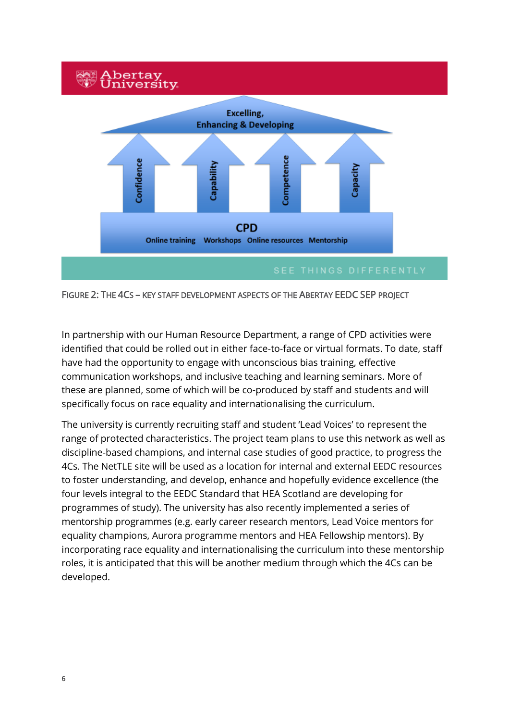

FIGURE 2: THE 4CS – KEY STAFF DEVELOPMENT ASPECTS OF THE ABERTAY EEDC SEP PROJECT

In partnership with our Human Resource Department, a range of CPD activities were identified that could be rolled out in either face-to-face or virtual formats. To date, staff have had the opportunity to engage with unconscious bias training, effective communication workshops, and inclusive teaching and learning seminars. More of these are planned, some of which will be co-produced by staff and students and will specifically focus on race equality and internationalising the curriculum.

The university is currently recruiting staff and student 'Lead Voices' to represent the range of protected characteristics. The project team plans to use this network as well as discipline-based champions, and internal case studies of good practice, to progress the 4Cs. The NetTLE site will be used as a location for internal and external EEDC resources to foster understanding, and develop, enhance and hopefully evidence excellence (the four levels integral to the EEDC Standard that HEA Scotland are developing for programmes of study). The university has also recently implemented a series of mentorship programmes (e.g. early career research mentors, Lead Voice mentors for equality champions, Aurora programme mentors and HEA Fellowship mentors). By incorporating race equality and internationalising the curriculum into these mentorship roles, it is anticipated that this will be another medium through which the 4Cs can be developed.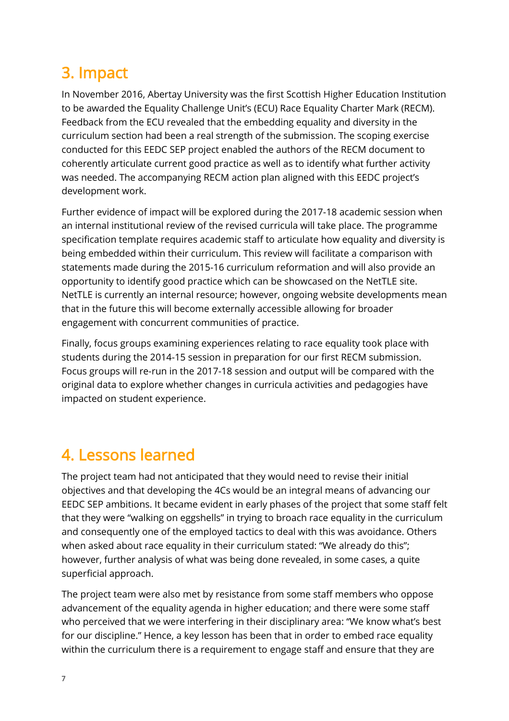### <span id="page-6-0"></span>3. Impact

In November 2016, Abertay University was the first Scottish Higher Education Institution to be awarded the Equality Challenge Unit's (ECU) Race Equality Charter Mark (RECM). Feedback from the ECU revealed that the embedding equality and diversity in the curriculum section had been a real strength of the submission. The scoping exercise conducted for this EEDC SEP project enabled the authors of the RECM document to coherently articulate current good practice as well as to identify what further activity was needed. The accompanying RECM action plan aligned with this EEDC project's development work.

Further evidence of impact will be explored during the 2017-18 academic session when an internal institutional review of the revised curricula will take place. The programme specification template requires academic staff to articulate how equality and diversity is being embedded within their curriculum. This review will facilitate a comparison with statements made during the 2015-16 curriculum reformation and will also provide an opportunity to identify good practice which can be showcased on the NetTLE site. NetTLE is currently an internal resource; however, ongoing website developments mean that in the future this will become externally accessible allowing for broader engagement with concurrent communities of practice.

Finally, focus groups examining experiences relating to race equality took place with students during the 2014-15 session in preparation for our first RECM submission. Focus groups will re-run in the 2017-18 session and output will be compared with the original data to explore whether changes in curricula activities and pedagogies have impacted on student experience.

#### <span id="page-6-1"></span>4. Lessons learned

The project team had not anticipated that they would need to revise their initial objectives and that developing the 4Cs would be an integral means of advancing our EEDC SEP ambitions. It became evident in early phases of the project that some staff felt that they were "walking on eggshells" in trying to broach race equality in the curriculum and consequently one of the employed tactics to deal with this was avoidance. Others when asked about race equality in their curriculum stated: "We already do this"; however, further analysis of what was being done revealed, in some cases, a quite superficial approach.

The project team were also met by resistance from some staff members who oppose advancement of the equality agenda in higher education; and there were some staff who perceived that we were interfering in their disciplinary area: "We know what's best for our discipline." Hence, a key lesson has been that in order to embed race equality within the curriculum there is a requirement to engage staff and ensure that they are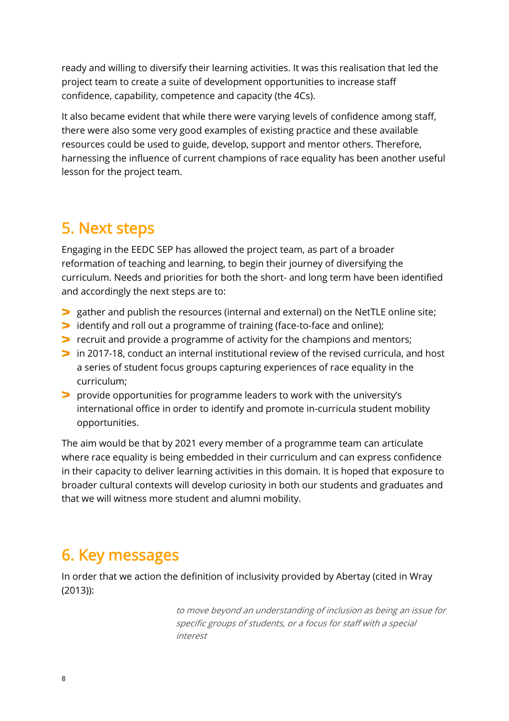ready and willing to diversify their learning activities. It was this realisation that led the project team to create a suite of development opportunities to increase staff confidence, capability, competence and capacity (the 4Cs).

It also became evident that while there were varying levels of confidence among staff, there were also some very good examples of existing practice and these available resources could be used to guide, develop, support and mentor others. Therefore, harnessing the influence of current champions of race equality has been another useful lesson for the project team.

#### <span id="page-7-0"></span>5. Next steps

Engaging in the EEDC SEP has allowed the project team, as part of a broader reformation of teaching and learning, to begin their journey of diversifying the curriculum. Needs and priorities for both the short- and long term have been identified and accordingly the next steps are to:

- gather and publish the resources (internal and external) on the NetTLE online site;
- identify and roll out a programme of training (face-to-face and online);
- recruit and provide a programme of activity for the champions and mentors;
- in 2017-18, conduct an internal institutional review of the revised curricula, and host a series of student focus groups capturing experiences of race equality in the curriculum;
- provide opportunities for programme leaders to work with the university's international office in order to identify and promote in-curricula student mobility opportunities.

The aim would be that by 2021 every member of a programme team can articulate where race equality is being embedded in their curriculum and can express confidence in their capacity to deliver learning activities in this domain. It is hoped that exposure to broader cultural contexts will develop curiosity in both our students and graduates and that we will witness more student and alumni mobility.

#### <span id="page-7-1"></span>6. Key messages

In order that we action the definition of inclusivity provided by Abertay (cited in Wray (2013)):

> to move beyond an understanding of inclusion as being an issue for specific groups of students, or a focus for staff with a special interest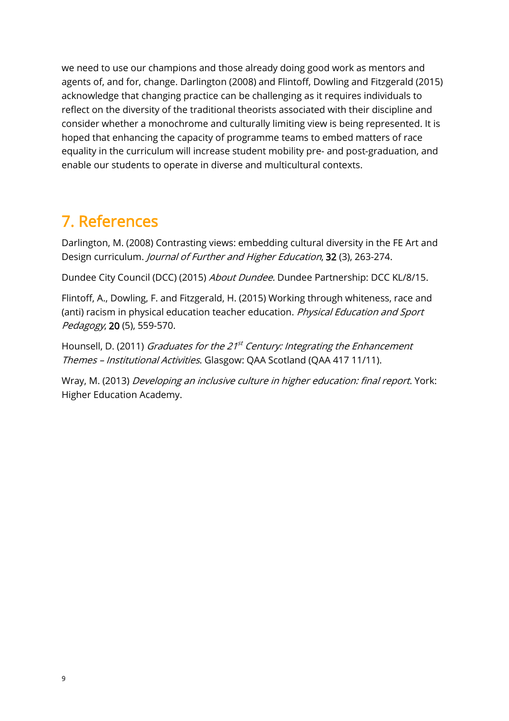we need to use our champions and those already doing good work as mentors and agents of, and for, change. Darlington (2008) and Flintoff, Dowling and Fitzgerald (2015) acknowledge that changing practice can be challenging as it requires individuals to reflect on the diversity of the traditional theorists associated with their discipline and consider whether a monochrome and culturally limiting view is being represented. It is hoped that enhancing the capacity of programme teams to embed matters of race equality in the curriculum will increase student mobility pre- and post-graduation, and enable our students to operate in diverse and multicultural contexts.

## <span id="page-8-0"></span>7. References

Darlington, M. (2008) Contrasting views: embedding cultural diversity in the FE Art and Design curriculum. Journal of Further and Higher Education, 32 (3), 263-274.

Dundee City Council (DCC) (2015) About Dundee. Dundee Partnership: DCC KL/8/15.

Flintoff, A., Dowling, F. and Fitzgerald, H. (2015) Working through whiteness, race and (anti) racism in physical education teacher education. Physical Education and Sport Pedagogy, 20 (5), 559-570.

Hounsell, D. (2011) *Graduates for the 21<sup>st</sup> Century: Integrating the Enhancement* Themes – Institutional Activities. Glasgow: QAA Scotland (QAA 417 11/11).

Wray, M. (2013) Developing an inclusive culture in higher education: final report. York: Higher Education Academy.